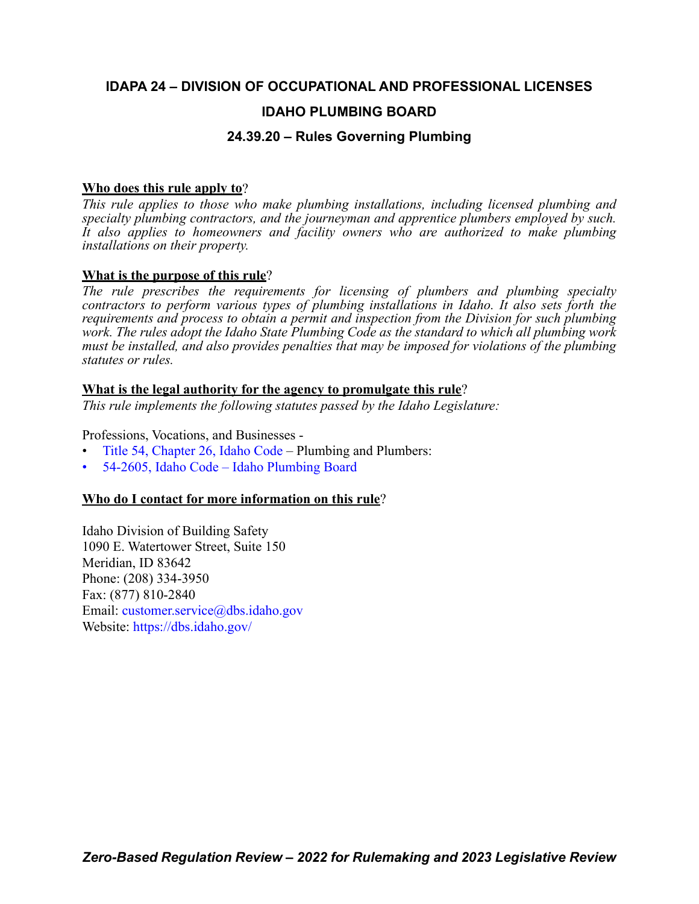# **IDAPA 24 – DIVISION OF OCCUPATIONAL AND PROFESSIONAL LICENSES**

# **IDAHO PLUMBING BOARD**

# **24.39.20 – Rules Governing Plumbing**

# **Who does this rule apply to**?

*This rule applies to those who make plumbing installations, including licensed plumbing and specialty plumbing contractors, and the journeyman and apprentice plumbers employed by such. It also applies to homeowners and facility owners who are authorized to make plumbing installations on their property.*

# **What is the purpose of this rule**?

*The rule prescribes the requirements for licensing of plumbers and plumbing specialty contractors to perform various types of plumbing installations in Idaho. It also sets forth the requirements and process to obtain a permit and inspection from the Division for such plumbing work. The rules adopt the Idaho State Plumbing Code as the standard to which all plumbing work must be installed, and also provides penalties that may be imposed for violations of the plumbing statutes or rules.* 

# **What is the legal authority for the agency to promulgate this rule**?

*This rule implements the following statutes passed by the Idaho Legislature:*

Professions, Vocations, and Businesses -

- [Title 54, Chapter 26, Idaho Code](https://legislature.idaho.gov/statutesrules/idstat/Title54/T54CH26/)  Plumbing and Plumbers:
- [54-2605, Idaho Code Idaho Plumbing Board](https://legislature.idaho.gov/statutesrules/idstat/Title54/T54CH26/SECT54-2605/)

# **Who do I contact for more information on this rule**?

Idaho Division of Building Safety 1090 E. Watertower Street, Suite 150 Meridian, ID 83642 Phone: (208) 334-3950 Fax: (877) 810-2840 Email: [customer.service@dbs.idaho.gov](mailto:customer.service@dbs.idaho.gov) Website: <https://dbs.idaho.gov/>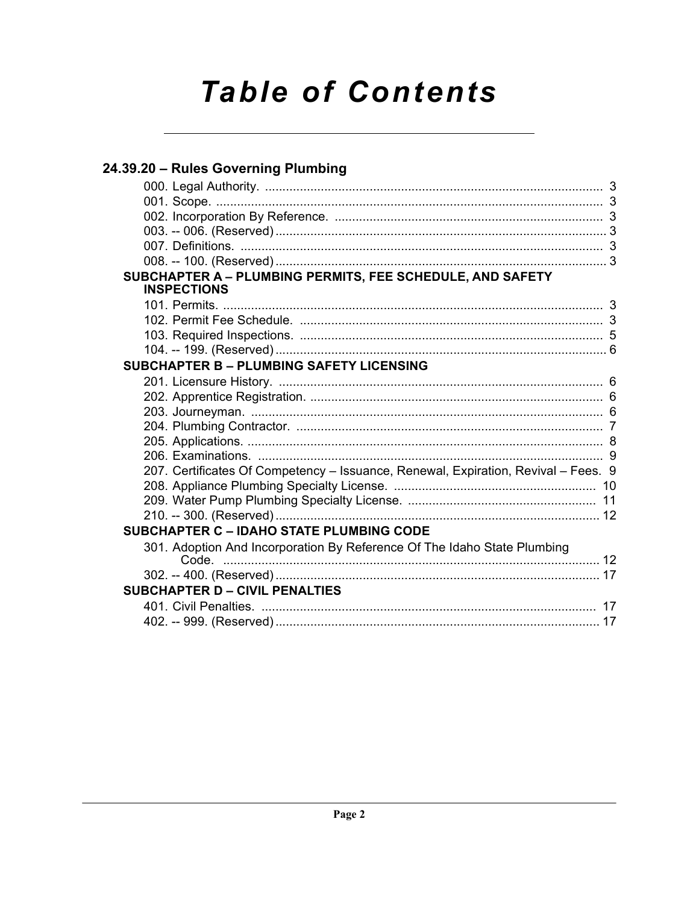# **Table of Contents**

| 24.39.20 - Rules Governing Plumbing                                                |  |
|------------------------------------------------------------------------------------|--|
|                                                                                    |  |
|                                                                                    |  |
|                                                                                    |  |
|                                                                                    |  |
|                                                                                    |  |
|                                                                                    |  |
| SUBCHAPTER A - PLUMBING PERMITS, FEE SCHEDULE, AND SAFETY<br><b>INSPECTIONS</b>    |  |
|                                                                                    |  |
|                                                                                    |  |
|                                                                                    |  |
|                                                                                    |  |
| <b>SUBCHAPTER B - PLUMBING SAFETY LICENSING</b>                                    |  |
|                                                                                    |  |
|                                                                                    |  |
|                                                                                    |  |
|                                                                                    |  |
|                                                                                    |  |
|                                                                                    |  |
| 207. Certificates Of Competency - Issuance, Renewal, Expiration, Revival - Fees. 9 |  |
|                                                                                    |  |
|                                                                                    |  |
|                                                                                    |  |
| <b>SUBCHAPTER C - IDAHO STATE PLUMBING CODE</b>                                    |  |
| 301. Adoption And Incorporation By Reference Of The Idaho State Plumbing           |  |
|                                                                                    |  |
| <b>SUBCHAPTER D - CIVIL PENALTIES</b>                                              |  |
|                                                                                    |  |
|                                                                                    |  |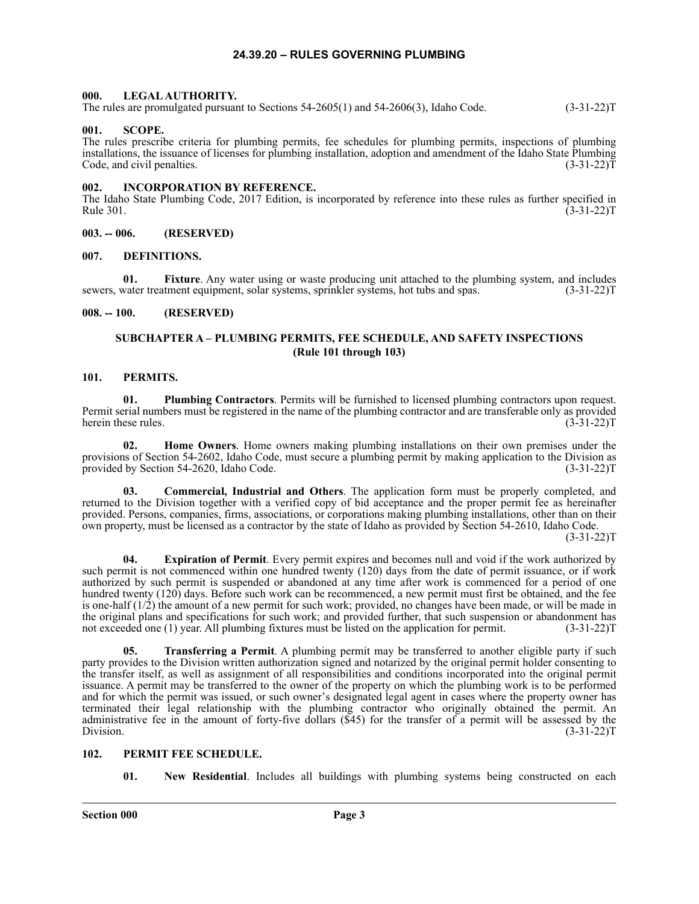# **24.39.20 – RULES GOVERNING PLUMBING**

#### <span id="page-2-1"></span><span id="page-2-0"></span>**000. LEGAL AUTHORITY.**

The rules are promulgated pursuant to Sections 54-2605(1) and 54-2606(3), Idaho Code. (3-31-22)T

#### <span id="page-2-2"></span>**001. SCOPE.**

The rules prescribe criteria for plumbing permits, fee schedules for plumbing permits, inspections of plumbing installations, the issuance of licenses for plumbing installation, adoption and amendment of the Idaho State Plumbing Code, and civil penalties. (3-31-22) T

#### <span id="page-2-3"></span>**002. INCORPORATION BY REFERENCE.**

The Idaho State Plumbing Code, 2017 Edition, is incorporated by reference into these rules as further specified in Rule 301. (3-31-22)T

<span id="page-2-4"></span>**003. -- 006. (RESERVED)**

#### <span id="page-2-5"></span>**007. DEFINITIONS.**

**01. Fixture**. Any water using or waste producing unit attached to the plumbing system, and includes sewers, water treatment equipment, solar systems, sprinkler systems, hot tubs and spas. (3-31-22)T

#### <span id="page-2-7"></span><span id="page-2-6"></span>**008. -- 100. (RESERVED)**

# **SUBCHAPTER A – PLUMBING PERMITS, FEE SCHEDULE, AND SAFETY INSPECTIONS (Rule 101 through 103)**

# <span id="page-2-8"></span>**101. PERMITS.**

**01. Plumbing Contractors**. Permits will be furnished to licensed plumbing contractors upon request. Permit serial numbers must be registered in the name of the plumbing contractor and are transferable only as provided herein these rules.

**02. Home Owners**. Home owners making plumbing installations on their own premises under the provisions of Section 54-2602, Idaho Code, must secure a plumbing permit by making application to the Division as provided by Section 54-2620, Idaho Code. (3-31-22)T

**03. Commercial, Industrial and Others**. The application form must be properly completed, and returned to the Division together with a verified copy of bid acceptance and the proper permit fee as hereinafter provided. Persons, companies, firms, associations, or corporations making plumbing installations, other than on their own property, must be licensed as a contractor by the state of Idaho as provided by Section 54-2610, Idaho Code.

 $(3-31-22)T$ 

**04. Expiration of Permit**. Every permit expires and becomes null and void if the work authorized by such permit is not commenced within one hundred twenty (120) days from the date of permit issuance, or if work authorized by such permit is suspended or abandoned at any time after work is commenced for a period of one hundred twenty (120) days. Before such work can be recommenced, a new permit must first be obtained, and the fee is one-half (1/2) the amount of a new permit for such work; provided, no changes have been made, or will be made in the original plans and specifications for such work; and provided further, that such suspension or abandonment has not exceeded one (1) year. All plumbing fixtures must be listed on the application for permit. (3-31-22) not exceeded one (1) year. All plumbing fixtures must be listed on the application for permit.

**05. Transferring a Permit**. A plumbing permit may be transferred to another eligible party if such party provides to the Division written authorization signed and notarized by the original permit holder consenting to the transfer itself, as well as assignment of all responsibilities and conditions incorporated into the original permit issuance. A permit may be transferred to the owner of the property on which the plumbing work is to be performed and for which the permit was issued, or such owner's designated legal agent in cases where the property owner has terminated their legal relationship with the plumbing contractor who originally obtained the permit. An administrative fee in the amount of forty-five dollars (\$45) for the transfer of a permit will be assessed by the Division. (3-31-22)T

# <span id="page-2-9"></span>**102. PERMIT FEE SCHEDULE.**

**01. New Residential**. Includes all buildings with plumbing systems being constructed on each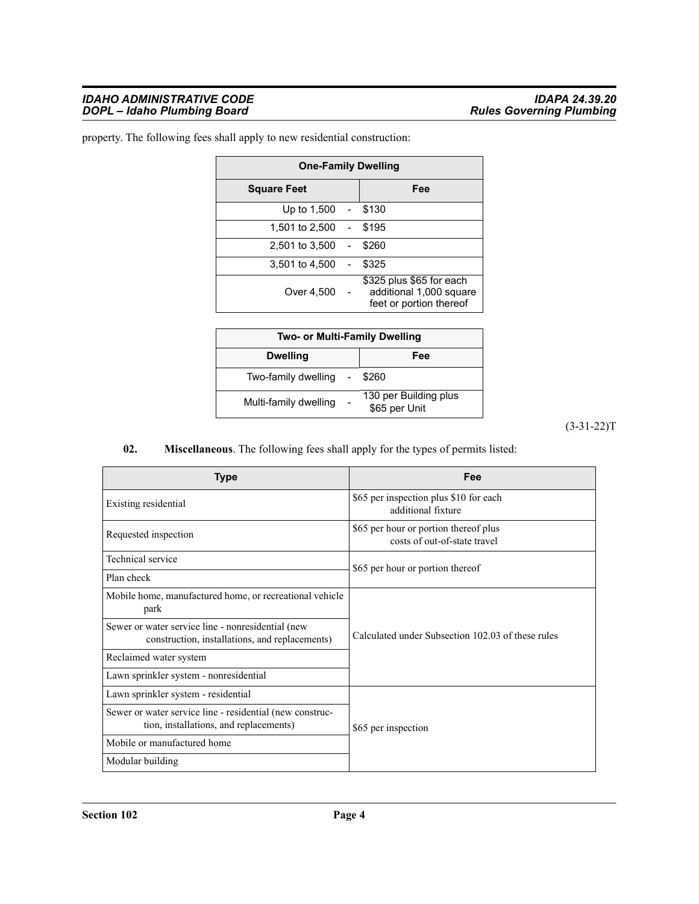#### *IDAHO ADMINISTRATIVE CODE IDAPA 24.39.20 DOPL – Idaho Plumbing Board Rules Governing Plumbing*

| <b>One-Family Dwelling</b> |                |                                                                                |  |  |  |  |  |
|----------------------------|----------------|--------------------------------------------------------------------------------|--|--|--|--|--|
| <b>Square Feet</b>         | Fee            |                                                                                |  |  |  |  |  |
| Up to 1,500 - \$130        |                |                                                                                |  |  |  |  |  |
| 1.501 to 2.500             | $\sim 100$     | \$195                                                                          |  |  |  |  |  |
| 2,501 to 3,500             |                | \$260                                                                          |  |  |  |  |  |
| 3,501 to 4,500             | $\blacksquare$ | \$325                                                                          |  |  |  |  |  |
| Over 4,500                 |                | \$325 plus \$65 for each<br>additional 1,000 square<br>feet or portion thereof |  |  |  |  |  |

property. The following fees shall apply to new residential construction:

| Two- or Multi-Family Dwelling |                                        |  |  |  |  |  |  |
|-------------------------------|----------------------------------------|--|--|--|--|--|--|
| <b>Dwelling</b>               | Fee                                    |  |  |  |  |  |  |
| Two-family dwelling -         | \$260                                  |  |  |  |  |  |  |
| Multi-family dwelling         | 130 per Building plus<br>\$65 per Unit |  |  |  |  |  |  |

(3-31-22)T

# **02. Miscellaneous**. The following fees shall apply for the types of permits listed:

| Type                                                                                                | Fee                                                                   |  |  |  |
|-----------------------------------------------------------------------------------------------------|-----------------------------------------------------------------------|--|--|--|
| Existing residential                                                                                | \$65 per inspection plus \$10 for each<br>additional fixture          |  |  |  |
| Requested inspection                                                                                | \$65 per hour or portion thereof plus<br>costs of out-of-state travel |  |  |  |
| Technical service                                                                                   | \$65 per hour or portion thereof                                      |  |  |  |
| Plan check                                                                                          |                                                                       |  |  |  |
| Mobile home, manufactured home, or recreational vehicle<br>park                                     |                                                                       |  |  |  |
| Sewer or water service line - nonresidential (new<br>construction, installations, and replacements) | Calculated under Subsection 102.03 of these rules                     |  |  |  |
| Reclaimed water system                                                                              |                                                                       |  |  |  |
| Lawn sprinkler system - nonresidential                                                              |                                                                       |  |  |  |
| Lawn sprinkler system - residential                                                                 |                                                                       |  |  |  |
| Sewer or water service line - residential (new construc-<br>tion, installations, and replacements)  | \$65 per inspection                                                   |  |  |  |
| Mobile or manufactured home                                                                         |                                                                       |  |  |  |
| Modular building                                                                                    |                                                                       |  |  |  |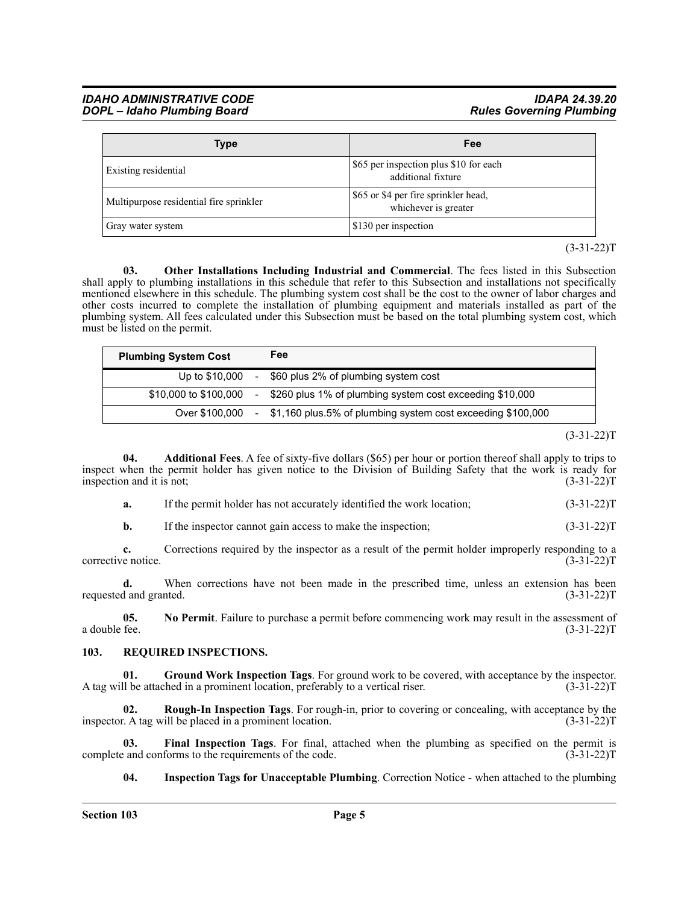#### *IDAHO ADMINISTRATIVE CODE IDAPA 24.39.20 DOPL – Idaho Plumbing Board*

| <b>Type</b>                             | Fee                                                          |
|-----------------------------------------|--------------------------------------------------------------|
| Existing residential                    | \$65 per inspection plus \$10 for each<br>additional fixture |
| Multipurpose residential fire sprinkler | \$65 or \$4 per fire sprinkler head,<br>whichever is greater |
| Gray water system                       | \$130 per inspection                                         |

 $(3-31-22)T$ 

**03. Other Installations Including Industrial and Commercial**. The fees listed in this Subsection shall apply to plumbing installations in this schedule that refer to this Subsection and installations not specifically mentioned elsewhere in this schedule. The plumbing system cost shall be the cost to the owner of labor charges and other costs incurred to complete the installation of plumbing equipment and materials installed as part of the plumbing system. All fees calculated under this Subsection must be based on the total plumbing system cost, which must be listed on the permit.

| <b>Plumbing System Cost</b> |        | Fee                                                           |
|-----------------------------|--------|---------------------------------------------------------------|
| Up to \$10,000              |        | - \$60 plus 2% of plumbing system cost                        |
| \$10,000 to \$100,000       | $\sim$ | \$260 plus 1% of plumbing system cost exceeding \$10,000      |
| Over \$100.000              |        | - \$1,160 plus.5% of plumbing system cost exceeding \$100,000 |

 $(3-31-22)T$ 

**04. Additional Fees**. A fee of sixty-five dollars (\$65) per hour or portion thereof shall apply to trips to inspect when the permit holder has given notice to the Division of Building Safety that the work is ready for inspection and it is not;  $(3-31-22)T$ 

**a.** If the permit holder has not accurately identified the work location; (3-31-22)T

**b.** If the inspector cannot gain access to make the inspection;  $(3-31-22)T$ 

**c.** Corrections required by the inspector as a result of the permit holder improperly responding to a corrective notice. (3-31-22)T

**d.** When corrections have not been made in the prescribed time, unless an extension has been requested and granted. (3-31-22)T

**05. No Permit**. Failure to purchase a permit before commencing work may result in the assessment of a double fee.  $(3-31-22)T$ 

#### <span id="page-4-0"></span>**103. REQUIRED INSPECTIONS.**

**01. Ground Work Inspection Tags**. For ground work to be covered, with acceptance by the inspector. A tag will be attached in a prominent location, preferably to a vertical riser. (3-31-22)T

**02. Rough-In Inspection Tags**. For rough-in, prior to covering or concealing, with acceptance by the  $\therefore$  A tag will be placed in a prominent location. (3-31-22) inspector. A tag will be placed in a prominent location.

**03. Final Inspection Tags**. For final, attached when the plumbing as specified on the permit is complete and conforms to the requirements of the code. (3-31-22)T

**04. Inspection Tags for Unacceptable Plumbing**. Correction Notice - when attached to the plumbing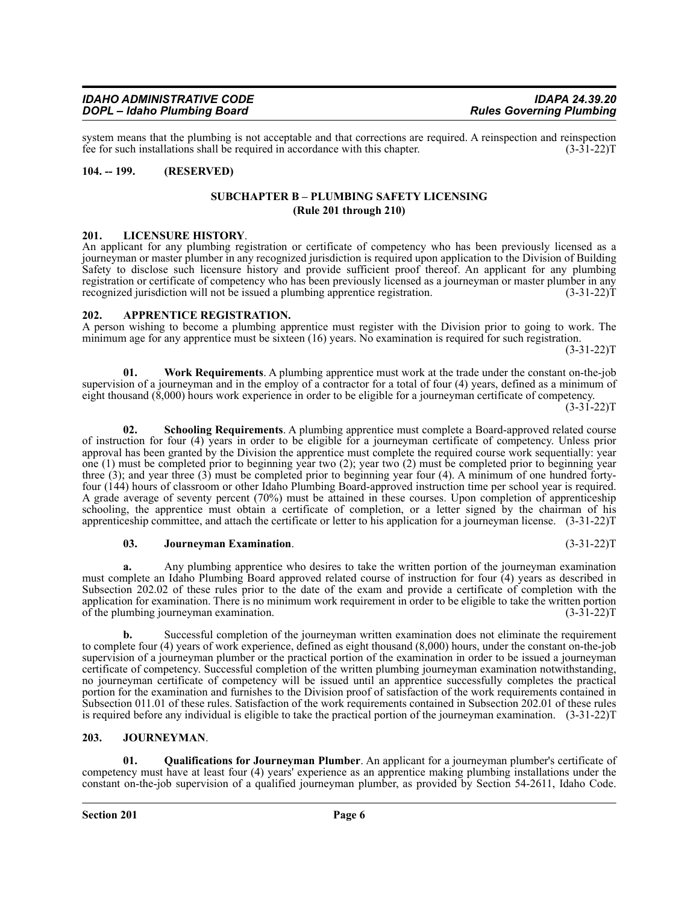system means that the plumbing is not acceptable and that corrections are required. A reinspection and reinspection fee for such installations shall be required in accordance with this chapter.  $(3-31-22)T$ 

### <span id="page-5-1"></span><span id="page-5-0"></span>**104. -- 199. (RESERVED)**

#### **SUBCHAPTER B – PLUMBING SAFETY LICENSING (Rule 201 through 210)**

<span id="page-5-2"></span>**201. LICENSURE HISTORY**. An applicant for any plumbing registration or certificate of competency who has been previously licensed as a journeyman or master plumber in any recognized jurisdiction is required upon application to the Division of Building Safety to disclose such licensure history and provide sufficient proof thereof. An applicant for any plumbing registration or certificate of competency who has been previously licensed as a journeyman or master plumber in any recognized jurisdiction will not be issued a plumbing apprentice registration. (3-31-22)T

#### <span id="page-5-3"></span>**202. APPRENTICE REGISTRATION.**

A person wishing to become a plumbing apprentice must register with the Division prior to going to work. The minimum age for any apprentice must be sixteen (16) years. No examination is required for such registration. (3-31-22)T

**01. Work Requirements**. A plumbing apprentice must work at the trade under the constant on-the-job supervision of a journeyman and in the employ of a contractor for a total of four (4) years, defined as a minimum of eight thousand (8,000) hours work experience in order to be eligible for a journeyman certificate of competency.

 $(3-31-22)T$ 

**02. Schooling Requirements**. A plumbing apprentice must complete a Board-approved related course of instruction for four (4) years in order to be eligible for a journeyman certificate of competency. Unless prior approval has been granted by the Division the apprentice must complete the required course work sequentially: year one (1) must be completed prior to beginning year two (2); year two (2) must be completed prior to beginning year three (3); and year three (3) must be completed prior to beginning year four (4). A minimum of one hundred fortyfour (144) hours of classroom or other Idaho Plumbing Board-approved instruction time per school year is required. A grade average of seventy percent (70%) must be attained in these courses. Upon completion of apprenticeship schooling, the apprentice must obtain a certificate of completion, or a letter signed by the chairman of his apprenticeship committee, and attach the certificate or letter to his application for a journeyman license. (3-31-22)T

#### **03. Journeyman Examination**. (3-31-22)T

**a.** Any plumbing apprentice who desires to take the written portion of the journeyman examination must complete an Idaho Plumbing Board approved related course of instruction for four (4) years as described in Subsection 202.02 of these rules prior to the date of the exam and provide a certificate of completion with the application for examination. There is no minimum work requirement in order to be eligible to take the written portion of the plumbing journeyman examination. (3-31-22)T

**b.** Successful completion of the journeyman written examination does not eliminate the requirement to complete four (4) years of work experience, defined as eight thousand (8,000) hours, under the constant on-the-job supervision of a journeyman plumber or the practical portion of the examination in order to be issued a journeyman certificate of competency. Successful completion of the written plumbing journeyman examination notwithstanding, no journeyman certificate of competency will be issued until an apprentice successfully completes the practical portion for the examination and furnishes to the Division proof of satisfaction of the work requirements contained in Subsection 011.01 of these rules. Satisfaction of the work requirements contained in Subsection 202.01 of these rules is required before any individual is eligible to take the practical portion of the journeyman examination. (3-31-22)T

# <span id="page-5-4"></span>**203. JOURNEYMAN**.

**01. Qualifications for Journeyman Plumber**. An applicant for a journeyman plumber's certificate of competency must have at least four (4) years' experience as an apprentice making plumbing installations under the constant on-the-job supervision of a qualified journeyman plumber, as provided by Section 54-2611, Idaho Code.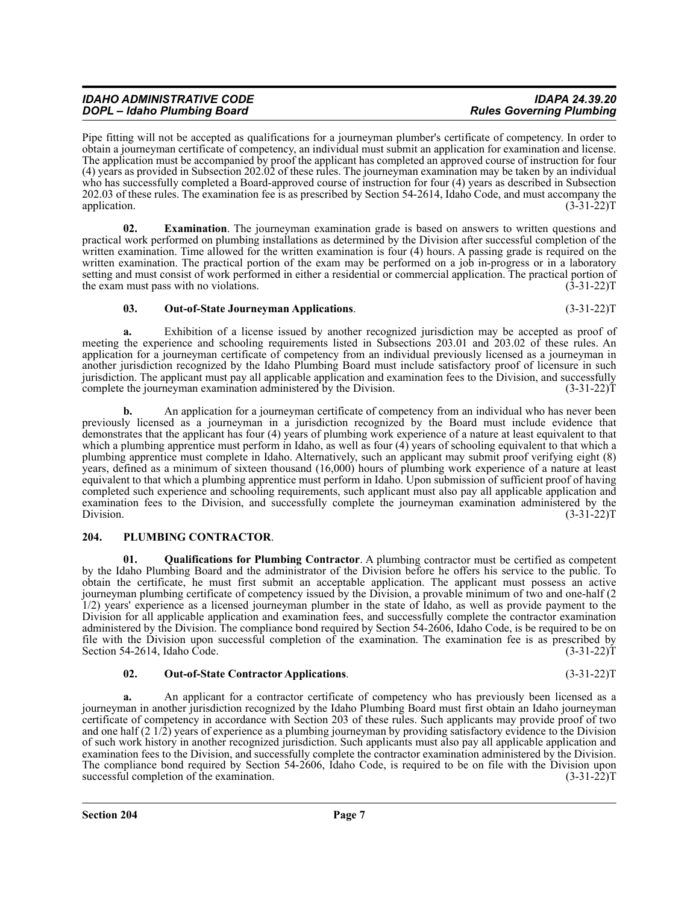Pipe fitting will not be accepted as qualifications for a journeyman plumber's certificate of competency. In order to obtain a journeyman certificate of competency, an individual must submit an application for examination and license. The application must be accompanied by proof the applicant has completed an approved course of instruction for four (4) years as provided in Subsection 202.02 of these rules. The journeyman examination may be taken by an individual who has successfully completed a Board-approved course of instruction for four (4) years as described in Subsection 202.03 of these rules. The examination fee is as prescribed by Section 54-2614, Idaho Code, and must accompany the application.  $(3-31-22)T$ 

**02. Examination**. The journeyman examination grade is based on answers to written questions and practical work performed on plumbing installations as determined by the Division after successful completion of the written examination. Time allowed for the written examination is four (4) hours. A passing grade is required on the written examination. The practical portion of the exam may be performed on a job in-progress or in a laboratory setting and must consist of work performed in either a residential or commercial application. The practical portion of the exam must pass with no violations. (3-31-22) T

# **03. Out-of-State Journeyman Applications**. (3-31-22)T

**a.** Exhibition of a license issued by another recognized jurisdiction may be accepted as proof of meeting the experience and schooling requirements listed in Subsections 203.01 and 203.02 of these rules. An application for a journeyman certificate of competency from an individual previously licensed as a journeyman in another jurisdiction recognized by the Idaho Plumbing Board must include satisfactory proof of licensure in such jurisdiction. The applicant must pay all applicable application and examination fees to the Division, and successfully complete the journeyman examination administered by the Division. (3-31-22) complete the journeyman examination administered by the Division.

**b.** An application for a journeyman certificate of competency from an individual who has never been previously licensed as a journeyman in a jurisdiction recognized by the Board must include evidence that demonstrates that the applicant has four (4) years of plumbing work experience of a nature at least equivalent to that which a plumbing apprentice must perform in Idaho, as well as four (4) years of schooling equivalent to that which a plumbing apprentice must complete in Idaho. Alternatively, such an applicant may submit proof verifying eight (8) years, defined as a minimum of sixteen thousand (16,000) hours of plumbing work experience of a nature at least equivalent to that which a plumbing apprentice must perform in Idaho. Upon submission of sufficient proof of having completed such experience and schooling requirements, such applicant must also pay all applicable application and examination fees to the Division, and successfully complete the journeyman examination administered by the Division. (3-31-22) Division. (3-31-22)T

# <span id="page-6-0"></span>**204. PLUMBING CONTRACTOR**.

**01. Qualifications for Plumbing Contractor**. A plumbing contractor must be certified as competent by the Idaho Plumbing Board and the administrator of the Division before he offers his service to the public. To obtain the certificate, he must first submit an acceptable application. The applicant must possess an active journeyman plumbing certificate of competency issued by the Division, a provable minimum of two and one-half (2 1/2) years' experience as a licensed journeyman plumber in the state of Idaho, as well as provide payment to the Division for all applicable application and examination fees, and successfully complete the contractor examination administered by the Division. The compliance bond required by Section 54-2606, Idaho Code, is be required to be on file with the Division upon successful completion of the examination. The examination fee is as prescribed by Section 54-2614, Idaho Code. (3-31-22) Section 54-2614, Idaho Code.

# **02. Out-of-State Contractor Applications**. (3-31-22)T

**a.** An applicant for a contractor certificate of competency who has previously been licensed as a journeyman in another jurisdiction recognized by the Idaho Plumbing Board must first obtain an Idaho journeyman certificate of competency in accordance with Section 203 of these rules. Such applicants may provide proof of two and one half (2 1/2) years of experience as a plumbing journeyman by providing satisfactory evidence to the Division of such work history in another recognized jurisdiction. Such applicants must also pay all applicable application and examination fees to the Division, and successfully complete the contractor examination administered by the Division. The compliance bond required by Section 54-2606, Idaho Code, is required to be on file with the Division upon successful completion of the examination. (3-31-22)T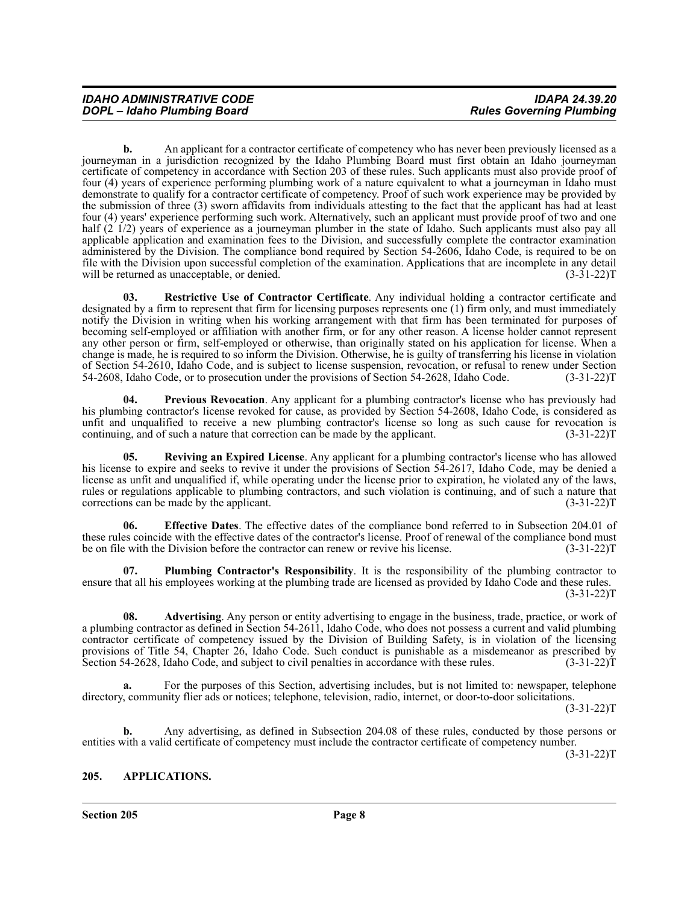**b.** An applicant for a contractor certificate of competency who has never been previously licensed as a journeyman in a jurisdiction recognized by the Idaho Plumbing Board must first obtain an Idaho journeyman certificate of competency in accordance with Section 203 of these rules. Such applicants must also provide proof of four (4) years of experience performing plumbing work of a nature equivalent to what a journeyman in Idaho must demonstrate to qualify for a contractor certificate of competency. Proof of such work experience may be provided by the submission of three (3) sworn affidavits from individuals attesting to the fact that the applicant has had at least four (4) years' experience performing such work. Alternatively, such an applicant must provide proof of two and one half (2 1/2) years of experience as a journeyman plumber in the state of Idaho. Such applicants must also pay all applicable application and examination fees to the Division, and successfully complete the contractor examination administered by the Division. The compliance bond required by Section 54-2606, Idaho Code, is required to be on file with the Division upon successful completion of the examination. Applications that are incomplete in any detail will be returned as unacceptable, or denied. (3-31-22) will be returned as unacceptable, or denied.

**03. Restrictive Use of Contractor Certificate**. Any individual holding a contractor certificate and designated by a firm to represent that firm for licensing purposes represents one (1) firm only, and must immediately notify the Division in writing when his working arrangement with that firm has been terminated for purposes of becoming self-employed or affiliation with another firm, or for any other reason. A license holder cannot represent any other person or firm, self-employed or otherwise, than originally stated on his application for license. When a change is made, he is required to so inform the Division. Otherwise, he is guilty of transferring his license in violation of Section 54-2610, Idaho Code, and is subject to license suspension, revocation, or refusal to renew under Section 54-2608, Idaho Code, or to prosecution under the provisions of Section 54-2628, Idaho Code. (3-31-22)T 54-2608, Idaho Code, or to prosecution under the provisions of Section 54-2628, Idaho Code.

**04. Previous Revocation**. Any applicant for a plumbing contractor's license who has previously had his plumbing contractor's license revoked for cause, as provided by Section 54-2608, Idaho Code, is considered as unfit and unqualified to receive a new plumbing contractor's license so long as such cause for revocation is continuing, and of such a nature that correction can be made by the applicant. (3-31-22)T

**05. Reviving an Expired License**. Any applicant for a plumbing contractor's license who has allowed his license to expire and seeks to revive it under the provisions of Section 54-2617, Idaho Code, may be denied a license as unfit and unqualified if, while operating under the license prior to expiration, he violated any of the laws, rules or regulations applicable to plumbing contractors, and such violation is continuing, and of such a nature that corrections can be made by the applicant. (3-31-22)T

**06. Effective Dates**. The effective dates of the compliance bond referred to in Subsection 204.01 of these rules coincide with the effective dates of the contractor's license. Proof of renewal of the compliance bond must<br>be on file with the Division before the contractor can renew or revive his license. (3-31-22) be on file with the Division before the contractor can renew or revive his license.

**07. Plumbing Contractor's Responsibility**. It is the responsibility of the plumbing contractor to ensure that all his employees working at the plumbing trade are licensed as provided by Idaho Code and these rules.  $(3-31-22)T$ 

**08. Advertising**. Any person or entity advertising to engage in the business, trade, practice, or work of a plumbing contractor as defined in Section 54-2611, Idaho Code, who does not possess a current and valid plumbing contractor certificate of competency issued by the Division of Building Safety, is in violation of the licensing provisions of Title 54, Chapter 26, Idaho Code. Such conduct is punishable as a misdemeanor as prescribed by Section 54-2628, Idaho Code, and subject to civil penalties in accordance with these rules. (3-31-22)T

**a.** For the purposes of this Section, advertising includes, but is not limited to: newspaper, telephone directory, community flier ads or notices; telephone, television, radio, internet, or door-to-door solicitations.

 $(3-31-22)T$ 

**b.** Any advertising, as defined in Subsection 204.08 of these rules, conducted by those persons or entities with a valid certificate of competency must include the contractor certificate of competency number.

 $(3-31-22)T$ 

# <span id="page-7-0"></span>**205. APPLICATIONS.**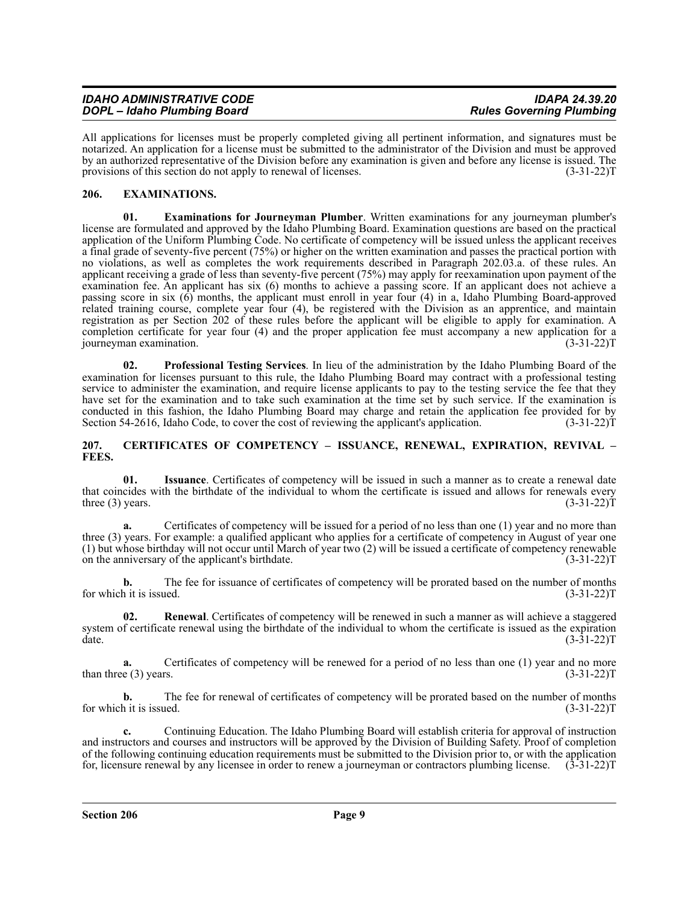| <b>IDAHO ADMINISTRATIVE CODE</b> | <b>IDAPA 24.39.20</b>           |
|----------------------------------|---------------------------------|
| DOPL - Idaho Plumbing Board      | <b>Rules Governing Plumbing</b> |

All applications for licenses must be properly completed giving all pertinent information, and signatures must be notarized. An application for a license must be submitted to the administrator of the Division and must be approved by an authorized representative of the Division before any examination is given and before any license is issued. The provisions of this section do not apply to renewal of licenses. (3-31-22) T

# <span id="page-8-0"></span>**206. EXAMINATIONS.**

**01. Examinations for Journeyman Plumber**. Written examinations for any journeyman plumber's license are formulated and approved by the Idaho Plumbing Board. Examination questions are based on the practical application of the Uniform Plumbing Code. No certificate of competency will be issued unless the applicant receives a final grade of seventy-five percent (75%) or higher on the written examination and passes the practical portion with no violations, as well as completes the work requirements described in Paragraph 202.03.a. of these rules. An applicant receiving a grade of less than seventy-five percent (75%) may apply for reexamination upon payment of the examination fee. An applicant has six (6) months to achieve a passing score. If an applicant does not achieve a passing score in six (6) months, the applicant must enroll in year four (4) in a, Idaho Plumbing Board-approved related training course, complete year four (4), be registered with the Division as an apprentice, and maintain registration as per Section 202 of these rules before the applicant will be eligible to apply for examination. A completion certificate for year four (4) and the proper application fee must accompany a new application for a journeyman examination. (3-31-22)T

**02. Professional Testing Services**. In lieu of the administration by the Idaho Plumbing Board of the examination for licenses pursuant to this rule, the Idaho Plumbing Board may contract with a professional testing service to administer the examination, and require license applicants to pay to the testing service the fee that they have set for the examination and to take such examination at the time set by such service. If the examination is conducted in this fashion, the Idaho Plumbing Board may charge and retain the application fee provided for by Section 54-2616, Idaho Code, to cover the cost of reviewing the applicant's application. (3-31-22)T

#### <span id="page-8-1"></span>**207. CERTIFICATES OF COMPETENCY – ISSUANCE, RENEWAL, EXPIRATION, REVIVAL – FEES.**

**01. Issuance**. Certificates of competency will be issued in such a manner as to create a renewal date that coincides with the birthdate of the individual to whom the certificate is issued and allows for renewals every three (3) years.  $(3-31-22)T$ 

**a.** Certificates of competency will be issued for a period of no less than one (1) year and no more than three (3) years. For example: a qualified applicant who applies for a certificate of competency in August of year one (1) but whose birthday will not occur until March of year two (2) will be issued a certificate of competency renewable on the anniversary of the applicant's birthdate. (3-31-22)T

**b.** The fee for issuance of certificates of competency will be prorated based on the number of months for which it is issued.  $(3-31-22)T$ 

**02. Renewal**. Certificates of competency will be renewed in such a manner as will achieve a staggered system of certificate renewal using the birthdate of the individual to whom the certificate is issued as the expiration  $\det$  (3-31-22)T

**a.** Certificates of competency will be renewed for a period of no less than one (1) year and no more than three (3) years.  $(3-31-22)T$ 

**b.** The fee for renewal of certificates of competency will be prorated based on the number of months for which it is issued.  $(3-31-22)T$ 

**c.** Continuing Education. The Idaho Plumbing Board will establish criteria for approval of instruction and instructors and courses and instructors will be approved by the Division of Building Safety. Proof of completion of the following continuing education requirements must be submitted to the Division prior to, or with the application for, licensure renewal by any licensee in order to renew a journeyman or contractors plumbing license. (3-31-22)T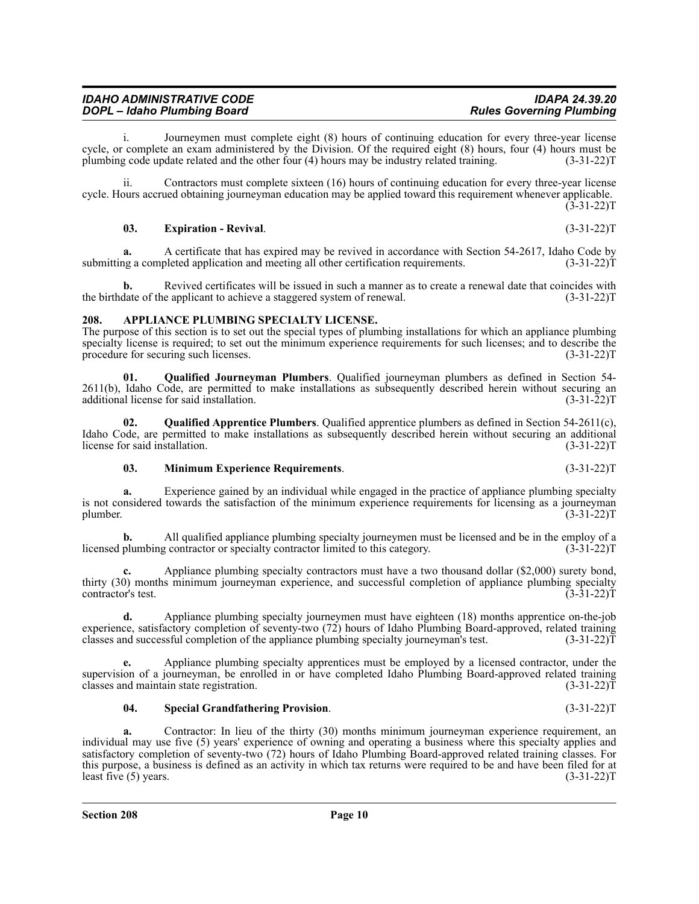| IDAHO ADMINISTRATIVE CODE   | IDAPA 24.39.20                  |
|-----------------------------|---------------------------------|
| DOPL – Idaho Plumbing Board | <b>Rules Governing Plumbing</b> |

i. Journeymen must complete eight (8) hours of continuing education for every three-year license cycle, or complete an exam administered by the Division. Of the required eight (8) hours, four (4) hours must be plumbing code update related and the other four (4) hours may be industry related training. (3-31-22)T

ii. Contractors must complete sixteen (16) hours of continuing education for every three-year license cycle. Hours accrued obtaining journeyman education may be applied toward this requirement whenever applicable.  $(3-31-22)T$ 

#### **03. Expiration - Revival**. (3-31-22)T

**a.** A certificate that has expired may be revived in accordance with Section 54-2617, Idaho Code by a completed application and meeting all other certification requirements. (3-31-22) submitting a completed application and meeting all other certification requirements.

**b.** Revived certificates will be issued in such a manner as to create a renewal date that coincides with the birthdate of the applicant to achieve a staggered system of renewal. (3-31-22)T

#### <span id="page-9-0"></span>**208. APPLIANCE PLUMBING SPECIALTY LICENSE.**

The purpose of this section is to set out the special types of plumbing installations for which an appliance plumbing specialty license is required; to set out the minimum experience requirements for such licenses; and to describe the procedure for securing such licenses. (3-31-22)T

**01. Qualified Journeyman Plumbers**. Qualified journeyman plumbers as defined in Section 54- 2611(b), Idaho Code, are permitted to make installations as subsequently described herein without securing an additional license for said installation. (3-31-22)T

**02. Qualified Apprentice Plumbers**. Qualified apprentice plumbers as defined in Section 54-2611(c), Idaho Code, are permitted to make installations as subsequently described herein without securing an additional license for said installation. (3-31-22) license for said installation.

#### **03. Minimum Experience Requirements**. (3-31-22)T

**a.** Experience gained by an individual while engaged in the practice of appliance plumbing specialty is not considered towards the satisfaction of the minimum experience requirements for licensing as a journeyman plumber. (3-31-22) plumber.  $(3-31-22)T$ 

**b.** All qualified appliance plumbing specialty journeymen must be licensed and be in the employ of a plumbing contractor or specialty contractor limited to this category. (3-31-22) licensed plumbing contractor or specialty contractor limited to this category.

Appliance plumbing specialty contractors must have a two thousand dollar (\$2,000) surety bond, thirty (30) months minimum journeyman experience, and successful completion of appliance plumbing specialty contractor's test. contractor's test.

**d.** Appliance plumbing specialty journeymen must have eighteen (18) months apprentice on-the-job experience, satisfactory completion of seventy-two (72) hours of Idaho Plumbing Board-approved, related training classes and successful completion of the appliance plumbing specialty journeyman's test.  $(3-31-22)\bar{T}$ 

**e.** Appliance plumbing specialty apprentices must be employed by a licensed contractor, under the supervision of a journeyman, be enrolled in or have completed Idaho Plumbing Board-approved related training classes and maintain state registration. (3-31-22) classes and maintain state registration.

# **04. Special Grandfathering Provision**. (3-31-22)T

**a.** Contractor: In lieu of the thirty (30) months minimum journeyman experience requirement, an individual may use five (5) years' experience of owning and operating a business where this specialty applies and satisfactory completion of seventy-two (72) hours of Idaho Plumbing Board-approved related training classes. For this purpose, a business is defined as an activity in which tax returns were required to be and have been filed for at least five (5) years.  $(3-31-22)T$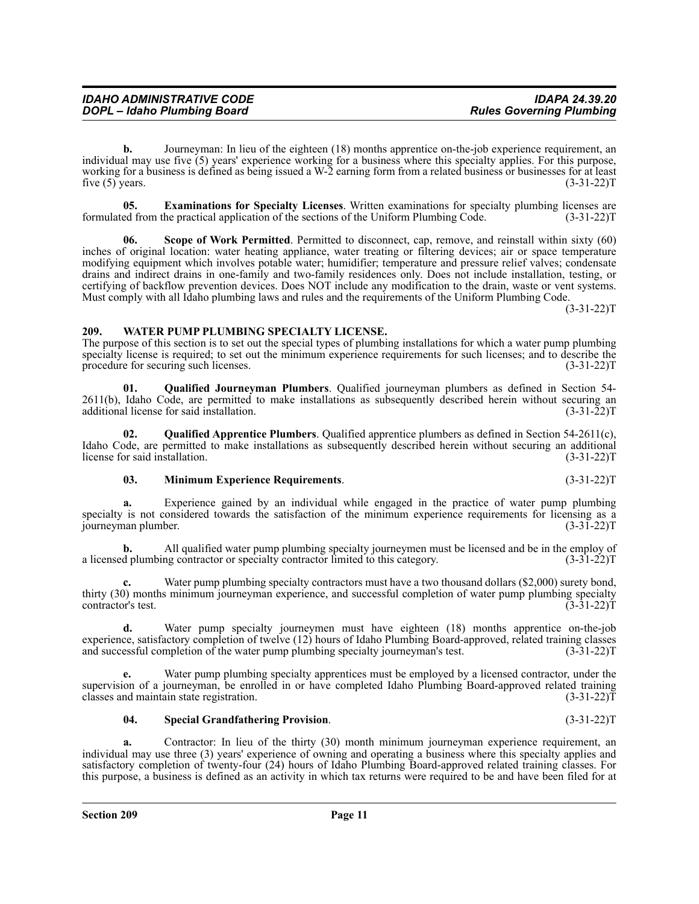supervision of a journeyman, be enrolled in or have completed Idaho Plumbing Board-approved related training classes and maintain state registration. (3-31-22) classes and maintain state registration.

**a.** Contractor: In lieu of the thirty (30) month minimum journeyman experience requirement, an individual may use three (3) years' experience of owning and operating a business where this specialty applies and satisfactory completion of twenty-four (24) hours of Idaho Plumbing Board-approved related training classes. For

this purpose, a business is defined as an activity in which tax returns were required to be and have been filed for at

**d.** Water pump specialty journeymen must have eighteen (18) months apprentice on-the-job experience, satisfactory completion of twelve (12) hours of Idaho Plumbing Board-approved, related training classes and successful completion of the water pump plumbing specialty journeyman's test. (3-31-22) and successful completion of the water pump plumbing specialty journeyman's test.

journeyman plumber. **b.** All qualified water pump plumbing specialty journeymen must be licensed and be in the employ of a licensed plumbing contractor or specialty contractor limited to this category. (3-31-22)T

thirty (30) months minimum journeyman experience, and successful completion of water pump plumbing specialty contractor's test. (3-31-22)T

**c.** Water pump plumbing specialty contractors must have a two thousand dollars (\$2,000) surety bond,

**e.** Water pump plumbing specialty apprentices must be employed by a licensed contractor, under the

**03. Minimum Experience Requirements**. (3-31-22)T **a.** Experience gained by an individual while engaged in the practice of water pump plumbing specialty is not considered towards the satisfaction of the minimum experience requirements for licensing as a<br>journeyman plumber. (3-31-22)

additional license for said installation. (3-31-22)T

**02. Qualified Apprentice Plumbers**. Qualified apprentice plumbers as defined in Section 54-2611(c),

# <span id="page-10-0"></span>**209. WATER PUMP PLUMBING SPECIALTY LICENSE.**

formulated from the practical application of the sections of the Uniform Plumbing Code.

The purpose of this section is to set out the special types of plumbing installations for which a water pump plumbing specialty license is required; to set out the minimum experience requirements for such licenses; and to describe the

**b.** Journeyman: In lieu of the eighteen (18) months apprentice on-the-job experience requirement, an

**05. Examinations for Specialty Licenses**. Written examinations for specialty plumbing licenses are ed from the practical application of the sections of the Uniform Plumbing Code. (3-31-22)T

**Scope of Work Permitted**. Permitted to disconnect, cap, remove, and reinstall within sixty (60)

individual may use five (5) years' experience working for a business where this specialty applies. For this purpose, working for a business is defined as being issued a W-2 earning form from a related business or businesses for at least five (5) years.  $(3-31-22)T$ 

inches of original location: water heating appliance, water treating or filtering devices; air or space temperature modifying equipment which involves potable water; humidifier; temperature and pressure relief valves; condensate drains and indirect drains in one-family and two-family residences only. Does not include installation, testing, or certifying of backflow prevention devices. Does NOT include any modification to the drain, waste or vent systems.

Must comply with all Idaho plumbing laws and rules and the requirements of the Uniform Plumbing Code.

procedure for securing such licenses. (3-31-22)T

**01. Qualified Journeyman Plumbers**. Qualified journeyman plumbers as defined in Section 54- 2611(b), Idaho Code, are permitted to make installations as subsequently described herein without securing an

Idaho Code, are permitted to make installations as subsequently described herein without securing an additional

license for said installation. (3-31-22)T

*DOPL – Idaho Plumbing Board* 

 $(3-31-22)T$ 

**04. Special Grandfathering Provision**. (3-31-22)T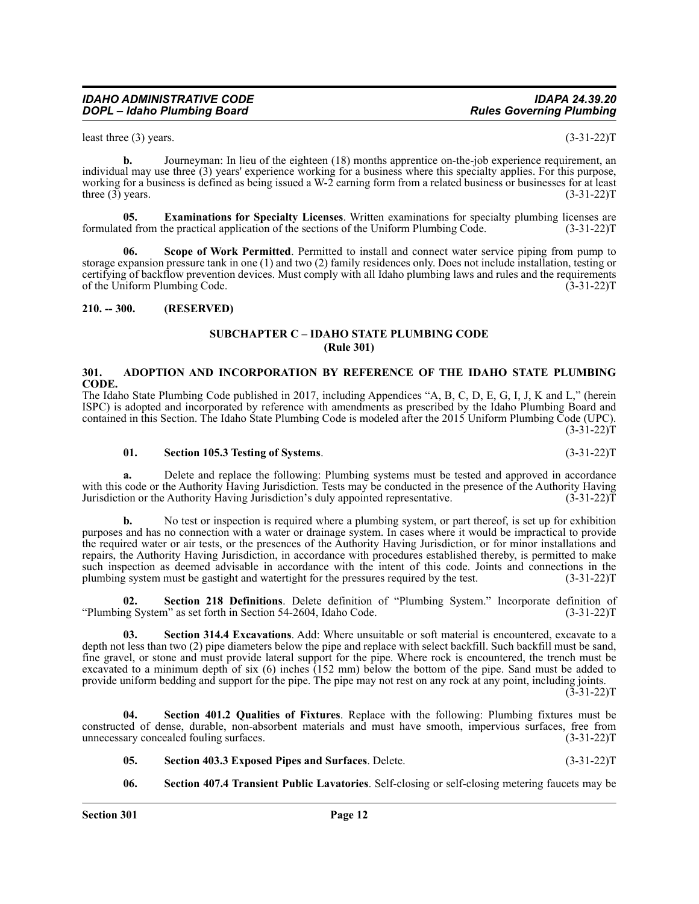#### *IDAHO ADMINISTRATIVE CODE IDAPA 24.39.20 DOPL – Idaho Plumbing Board*

least three (3) years.  $(3-31-22)T$ 

**b.** Journeyman: In lieu of the eighteen (18) months apprentice on-the-job experience requirement, an individual may use three (3) years' experience working for a business where this specialty applies. For this purpose, working for a business is defined as being issued a W-2 earning form from a related business or businesses for at least three (3) years.  $(3-31-22)T$ 

**05. Examinations for Specialty Licenses**. Written examinations for specialty plumbing licenses are formulated from the practical application of the sections of the Uniform Plumbing Code. (3-31-22)T

**06. Scope of Work Permitted**. Permitted to install and connect water service piping from pump to storage expansion pressure tank in one (1) and two (2) family residences only. Does not include installation, testing or certifying of backflow prevention devices. Must comply with all Idaho plumbing laws and rules and the requirements of the Uniform Plumbing Code. (3-31-22)T

#### <span id="page-11-1"></span><span id="page-11-0"></span>**210. -- 300. (RESERVED)**

# **SUBCHAPTER C – IDAHO STATE PLUMBING CODE (Rule 301)**

#### <span id="page-11-2"></span>**301. ADOPTION AND INCORPORATION BY REFERENCE OF THE IDAHO STATE PLUMBING CODE.**

The Idaho State Plumbing Code published in 2017, including Appendices "A, B, C, D, E, G, I, J, K and L," (herein ISPC) is adopted and incorporated by reference with amendments as prescribed by the Idaho Plumbing Board and contained in this Section. The Idaho State Plumbing Code is modeled after the 2015 Uniform Plumbing Code (UPC).  $(3-31-22)T$ 

#### **01. Section 105.3 Testing of Systems**. (3-31-22)T

**a.** Delete and replace the following: Plumbing systems must be tested and approved in accordance with this code or the Authority Having Jurisdiction. Tests may be conducted in the presence of the Authority Having<br>Jurisdiction or the Authority Having Jurisdiction's duly appointed representative. (3-31-22) Jurisdiction or the Authority Having Jurisdiction's duly appointed representative.

**b.** No test or inspection is required where a plumbing system, or part thereof, is set up for exhibition purposes and has no connection with a water or drainage system. In cases where it would be impractical to provide the required water or air tests, or the presences of the Authority Having Jurisdiction, or for minor installations and repairs, the Authority Having Jurisdiction, in accordance with procedures established thereby, is permitted to make such inspection as deemed advisable in accordance with the intent of this code. Joints and connections in the plumbing system must be gastight and watertight for the pressures required by the test. (3-31-22)T

**02. Section 218 Definitions**. Delete definition of "Plumbing System." Incorporate definition of "Plumbing System" as set forth in Section 54-2604, Idaho Code. (3-31-22)T

**03. Section 314.4 Excavations**. Add: Where unsuitable or soft material is encountered, excavate to a depth not less than two (2) pipe diameters below the pipe and replace with select backfill. Such backfill must be sand, fine gravel, or stone and must provide lateral support for the pipe. Where rock is encountered, the trench must be excavated to a minimum depth of six (6) inches (152 mm) below the bottom of the pipe. Sand must be added to provide uniform bedding and support for the pipe. The pipe may not rest on any rock at any point, including joints.  $(3-31-22)T$ 

**04. Section 401.2 Qualities of Fixtures**. Replace with the following: Plumbing fixtures must be constructed of dense, durable, non-absorbent materials and must have smooth, impervious surfaces, free from unnecessary concealed fouling surfaces. (3-31-22)T

- **05. Section 403.3 Exposed Pipes and Surfaces**. Delete. (3-31-22)T
- **06. Section 407.4 Transient Public Lavatories**. Self-closing or self-closing metering faucets may be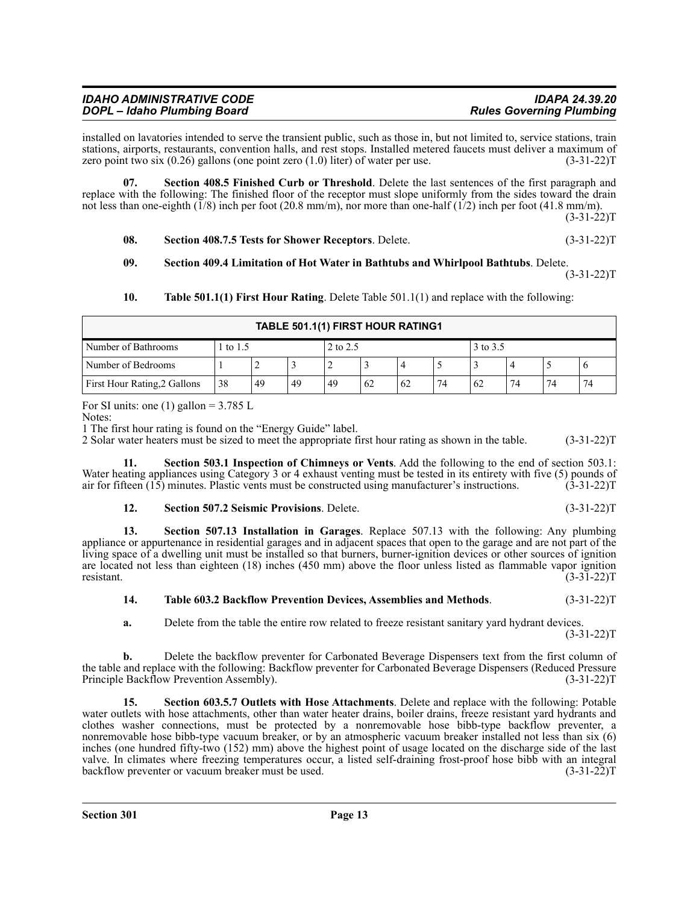| <b>IDAHO ADMINISTRATIVE CODE</b> | <b>IDAPA 24.39.20</b>           |
|----------------------------------|---------------------------------|
| DOPL - Idaho Plumbing Board      | <b>Rules Governing Plumbing</b> |

installed on lavatories intended to serve the transient public, such as those in, but not limited to, service stations, train stations, airports, restaurants, convention halls, and rest stops. Installed metered faucets must deliver a maximum of zero point two six  $(0.26)$  gallons (one point zero  $(1.0)$  liter) of water per use.  $(3-31-22)$ T

**07. Section 408.5 Finished Curb or Threshold**. Delete the last sentences of the first paragraph and replace with the following: The finished floor of the receptor must slope uniformly from the sides toward the drain not less than one-eighth (1/8) inch per foot (20.8 mm/m), nor more than one-half (1/2) inch per foot (41.8 mm/m).

 $(3-31-22)T$ 

**08. Section 408.7.5 Tests for Shower Receptors**. Delete. (3-31-22)T

#### **09. Section 409.4 Limitation of Hot Water in Bathtubs and Whirlpool Bathtubs**. Delete.  $(3-31-22)T$

**10. Table 501.1(1) First Hour Rating**. Delete Table 501.1(1) and replace with the following:

| TABLE 501.1(1) FIRST HOUR RATING1 |    |                      |    |    |    |          |    |    |    |    |    |
|-----------------------------------|----|----------------------|----|----|----|----------|----|----|----|----|----|
| Number of Bathrooms               |    | 2 to 2.5<br>1 to 1.5 |    |    |    | 3 to 3.5 |    |    |    |    |    |
| Number of Bedrooms                |    |                      |    |    |    |          |    |    |    |    |    |
| First Hour Rating, 2 Gallons      | 38 | 49                   | 49 | 49 | 62 | 62       | 74 | 62 | 74 | 74 | 74 |

For SI units: one (1) gallon =  $3.785$  L

Notes:

1 The first hour rating is found on the "Energy Guide" label.

2 Solar water heaters must be sized to meet the appropriate first hour rating as shown in the table. (3-31-22)T

**11. Section 503.1 Inspection of Chimneys or Vents**. Add the following to the end of section 503.1: Water heating appliances using Category 3 or 4 exhaust venting must be tested in its entirety with five (5) pounds of air for fifteen (15) minutes. Plastic vents must be constructed using manufacturer's instructions. (3-31-22)T

# **12. Section 507.2 Seismic Provisions**. Delete. (3-31-22)T

**13. Section 507.13 Installation in Garages**. Replace 507.13 with the following: Any plumbing appliance or appurtenance in residential garages and in adjacent spaces that open to the garage and are not part of the living space of a dwelling unit must be installed so that burners, burner-ignition devices or other sources of ignition are located not less than eighteen (18) inches (450 mm) above the floor unless listed as flammable vapor ignition resistant. (3-31-22) resistant.  $(3-31-22)T$ 

# **14. Table 603.2 Backflow Prevention Devices, Assemblies and Methods**. (3-31-22)T

**a.** Delete from the table the entire row related to freeze resistant sanitary yard hydrant devices.  $(3-31-22)T$ 

**b.** Delete the backflow preventer for Carbonated Beverage Dispensers text from the first column of the table and replace with the following: Backflow preventer for Carbonated Beverage Dispensers (Reduced Pressure Principle Backflow Prevention Assembly). (3-31-22) T

**15. Section 603.5.7 Outlets with Hose Attachments**. Delete and replace with the following: Potable water outlets with hose attachments, other than water heater drains, boiler drains, freeze resistant yard hydrants and clothes washer connections, must be protected by a nonremovable hose bibb-type backflow preventer, a nonremovable hose bibb-type vacuum breaker, or by an atmospheric vacuum breaker installed not less than six (6) inches (one hundred fifty-two (152) mm) above the highest point of usage located on the discharge side of the last valve. In climates where freezing temperatures occur, a listed self-draining frost-proof hose bibb with an integral backflow preventer or vacuum breaker must be used. (3-31-22) backflow preventer or vacuum breaker must be used.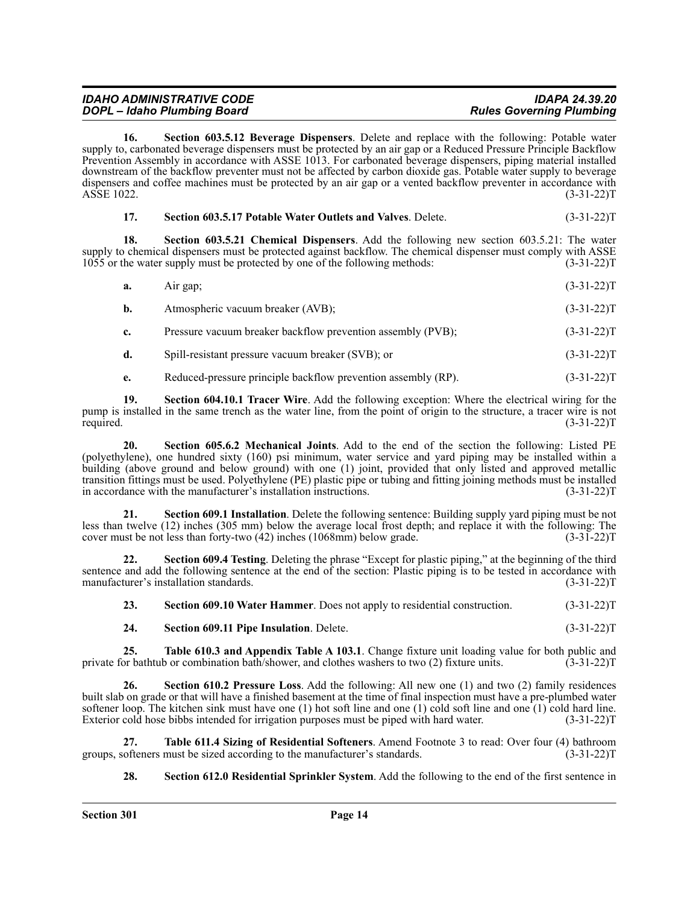| <b>IDAHO ADMINISTRATIVE CODE</b> | <b>IDAPA 24.39.20</b>           |
|----------------------------------|---------------------------------|
| DOPL - Idaho Plumbing Board      | <b>Rules Governing Plumbing</b> |

**16. Section 603.5.12 Beverage Dispensers**. Delete and replace with the following: Potable water supply to, carbonated beverage dispensers must be protected by an air gap or a Reduced Pressure Principle Backflow Prevention Assembly in accordance with ASSE 1013. For carbonated beverage dispensers, piping material installed downstream of the backflow preventer must not be affected by carbon dioxide gas. Potable water supply to beverage dispensers and coffee machines must be protected by an air gap or a vented backflow preventer in accordance with ASSE 1022. (3-31-22)T

| -17. | Section 603.5.17 Potable Water Outlets and Valves. Delete. | $(3-31-22)T$ |
|------|------------------------------------------------------------|--------------|
|      |                                                            |              |

**18. Section 603.5.21 Chemical Dispensers**. Add the following new section 603.5.21: The water supply to chemical dispensers must be protected against backflow. The chemical dispenser must comply with ASSE 1055 or the water supply must be protected by one of the following methods: (3-31-22)T

| $(3-31-22)T$<br>a.<br>Air gap; |  |  |
|--------------------------------|--|--|
|--------------------------------|--|--|

| Atmospheric vacuum breaker (AVB):<br>b. | $(3-31-22)T$ |
|-----------------------------------------|--------------|

**c.** Pressure vacuum breaker backflow prevention assembly (PVB); (3-31-22)T

- **d.** Spill-resistant pressure vacuum breaker (SVB); or (3-31-22)T
- **e.** Reduced-pressure principle backflow prevention assembly (RP). (3-31-22)T

**19. Section 604.10.1 Tracer Wire**. Add the following exception: Where the electrical wiring for the pump is installed in the same trench as the water line, from the point of origin to the structure, a tracer wire is not required. (3-31-22) required.  $(3-31-22)T$ 

**20. Section 605.6.2 Mechanical Joints**. Add to the end of the section the following: Listed PE (polyethylene), one hundred sixty (160) psi minimum, water service and yard piping may be installed within a building (above ground and below ground) with one (1) joint, provided that only listed and approved metallic transition fittings must be used. Polyethylene (PE) plastic pipe or tubing and fitting joining methods must be installed in accordance with the manufacturer's installation instructions. (3-31-22)T

**21. Section 609.1 Installation**. Delete the following sentence: Building supply yard piping must be not less than twelve (12) inches (305 mm) below the average local frost depth; and replace it with the following: The cover must be not less than forty-two (42) inches (1068mm) below grade. (3-31-22)T

**22. Section 609.4 Testing**. Deleting the phrase "Except for plastic piping," at the beginning of the third sentence and add the following sentence at the end of the section: Plastic piping is to be tested in accordance with manufacturer's installation standards. (3-31-22) manufacturer's installation standards.

| 23. | Section 609.10 Water Hammer. Does not apply to residential construction. | $(3-31-22)T$ |
|-----|--------------------------------------------------------------------------|--------------|
|     |                                                                          |              |

**24. Section 609.11 Pipe Insulation**. Delete. (3-31-22)T

**25. Table 610.3 and Appendix Table A 103.1**. Change fixture unit loading value for both public and private for bathtub or combination bath/shower, and clothes washers to two (2) fixture units. (3-31-22)T

**26. Section 610.2 Pressure Loss**. Add the following: All new one (1) and two (2) family residences built slab on grade or that will have a finished basement at the time of final inspection must have a pre-plumbed water softener loop. The kitchen sink must have one (1) hot soft line and one (1) cold soft line and one (1) cold hard line. Exterior cold hose bibbs intended for irrigation purposes must be piped with hard water. (3-31-22) E

**27. Table 611.4 Sizing of Residential Softeners**. Amend Footnote 3 to read: Over four (4) bathroom groups, softeners must be sized according to the manufacturer's standards.

**28. Section 612.0 Residential Sprinkler System**. Add the following to the end of the first sentence in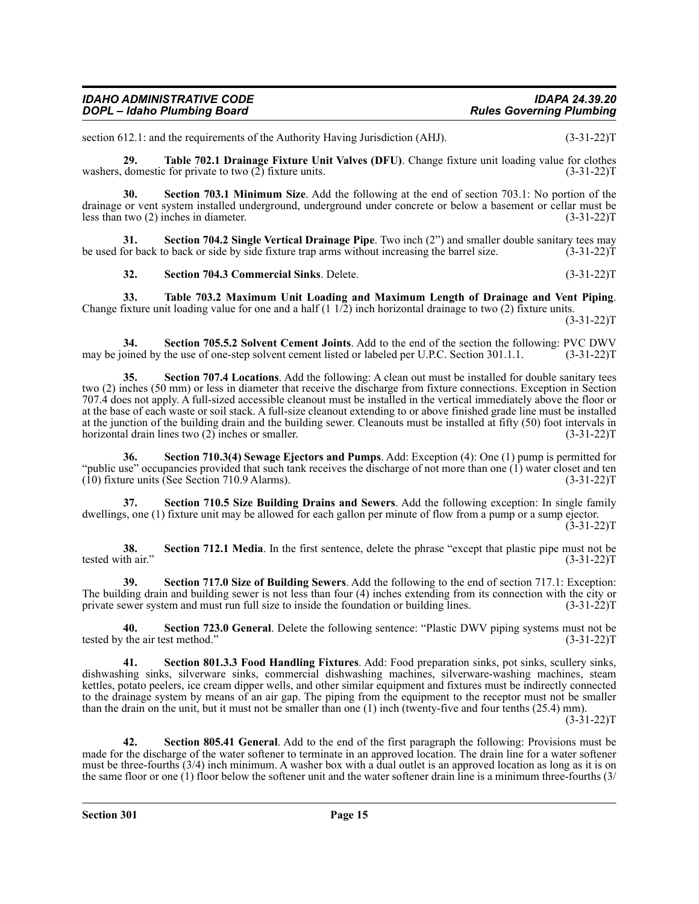| <b>IDAHO ADMINISTRATIVE CODE</b> | <b>IDAPA 24.39.20</b>           |
|----------------------------------|---------------------------------|
| DOPL - Idaho Plumbing Board      | <b>Rules Governing Plumbing</b> |

section 612.1: and the requirements of the Authority Having Jurisdiction (AHJ). (3-31-22) T

**29. Table 702.1 Drainage Fixture Unit Valves (DFU)**. Change fixture unit loading value for clothes washers, domestic for private to two  $(2)$  fixture units.

**30. Section 703.1 Minimum Size**. Add the following at the end of section 703.1: No portion of the drainage or vent system installed underground, underground under concrete or below a basement or cellar must be less than two (2) inches in diameter. (3-31-22)T

**Section 704.2 Single Vertical Drainage Pipe**. Two inch (2") and smaller double sanitary tees may to back or side by side fixture trap arms without increasing the barrel size. (3-31-22) be used for back to back or side by side fixture trap arms without increasing the barrel size.

**32. Section 704.3 Commercial Sinks**. Delete. (3-31-22)T

**33. Table 703.2 Maximum Unit Loading and Maximum Length of Drainage and Vent Piping**. Change fixture unit loading value for one and a half  $(1\ 1/2)$  inch horizontal drainage to two  $(2)$  fixture units. (3-31-22)T

**34. Section 705.5.2 Solvent Cement Joints**. Add to the end of the section the following: PVC DWV may be joined by the use of one-step solvent cement listed or labeled per U.P.C. Section 301.1.1.

**35.** Section 707.4 Locations. Add the following: A clean out must be installed for double sanitary tees two (2) inches (50 mm) or less in diameter that receive the discharge from fixture connections. Exception in Section 707.4 does not apply. A full-sized accessible cleanout must be installed in the vertical immediately above the floor or at the base of each waste or soil stack. A full-size cleanout extending to or above finished grade line must be installed at the junction of the building drain and the building sewer. Cleanouts must be installed at fifty (50) foot intervals in horizontal drain lines two (2) inches or smaller. (3-31-22) T

**36. Section 710.3(4) Sewage Ejectors and Pumps**. Add: Exception (4): One (1) pump is permitted for "public use" occupancies provided that such tank receives the discharge of not more than one (1) water closet and ten<br>(10) fixture units (See Section 710.9 Alarms). (3-31-22)  $(10)$  fixture units (See Section 710.9 Alarms).

**37. Section 710.5 Size Building Drains and Sewers**. Add the following exception: In single family dwellings, one (1) fixture unit may be allowed for each gallon per minute of flow from a pump or a sump ejector.  $(3-31-22)T$ 

**38. Section 712.1 Media**. In the first sentence, delete the phrase "except that plastic pipe must not be tested with air." (3-31-22)T

**39. Section 717.0 Size of Building Sewers**. Add the following to the end of section 717.1: Exception: The building drain and building sewer is not less than four (4) inches extending from its connection with the city or private sewer system and must run full size to inside the foundation or building lines. (3-31-22)T

**40.** Section 723.0 General. Delete the following sentence: "Plastic DWV piping systems must not be the air test method." (3-31-22) tested by the air test method."

**41. Section 801.3.3 Food Handling Fixtures**. Add: Food preparation sinks, pot sinks, scullery sinks, dishwashing sinks, silverware sinks, commercial dishwashing machines, silverware-washing machines, steam kettles, potato peelers, ice cream dipper wells, and other similar equipment and fixtures must be indirectly connected to the drainage system by means of an air gap. The piping from the equipment to the receptor must not be smaller than the drain on the unit, but it must not be smaller than one (1) inch (twenty-five and four tenths (25.4) mm).

 $(3-31-22)T$ 

**42. Section 805.41 General**. Add to the end of the first paragraph the following: Provisions must be made for the discharge of the water softener to terminate in an approved location. The drain line for a water softener must be three-fourths (3/4) inch minimum. A washer box with a dual outlet is an approved location as long as it is on the same floor or one (1) floor below the softener unit and the water softener drain line is a minimum three-fourths (3/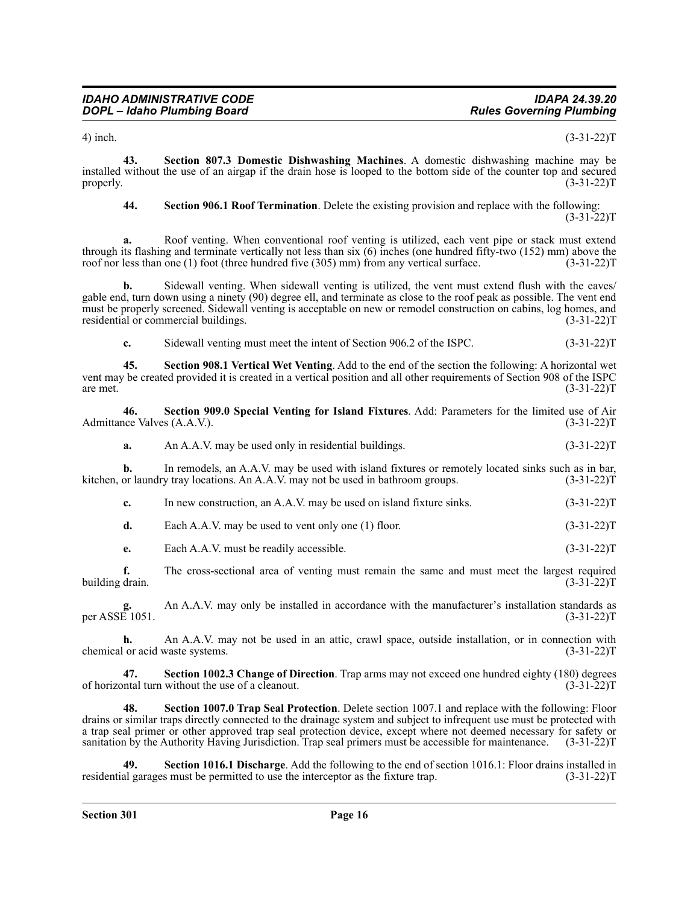4) inch. (3-31-22)T

**43. Section 807.3 Domestic Dishwashing Machines**. A domestic dishwashing machine may be installed without the use of an airgap if the drain hose is looped to the bottom side of the counter top and secured properly.  $(3-31-22)T$ 

#### **44. Section 906.1 Roof Termination**. Delete the existing provision and replace with the following:  $(3-31-22)T$

**a.** Roof venting. When conventional roof venting is utilized, each vent pipe or stack must extend through its flashing and terminate vertically not less than six (6) inches (one hundred fifty-two (152) mm) above the roof nor less than one (1) foot (three hundred five (305) mm) from any vertical surface. (3-31-22)T

**b.** Sidewall venting. When sidewall venting is utilized, the vent must extend flush with the eaves/ gable end, turn down using a ninety (90) degree ell, and terminate as close to the roof peak as possible. The vent end must be properly screened. Sidewall venting is acceptable on new or remodel construction on cabins, log homes, and residential or commercial buildings. (3-31-22) residential or commercial buildings.

**c.** Sidewall venting must meet the intent of Section 906.2 of the ISPC. (3-31-22)T

**45. Section 908.1 Vertical Wet Venting**. Add to the end of the section the following: A horizontal wet vent may be created provided it is created in a vertical position and all other requirements of Section 908 of the ISPC are met.  $(3-31-22)T$ 

**46. Section 909.0 Special Venting for Island Fixtures**. Add: Parameters for the limited use of Air Admittance Valves (A.A.V.).

**a.** An A.A.V. may be used only in residential buildings. (3-31-22) T

**b.** In remodels, an A.A.V. may be used with island fixtures or remotely located sinks such as in bar, kitchen, or laundry tray locations. An A.A.V. may not be used in bathroom groups. (3-31-22) T

|  | In new construction, an A.A.V, may be used on island fixture sinks. | $(3-31-22)T$ |
|--|---------------------------------------------------------------------|--------------|
|--|---------------------------------------------------------------------|--------------|

**d.** Each A.A.V. may be used to vent only one (1) floor.  $(3-31-22)T$ 

**e.** Each A.A.V. must be readily accessible. (3-31-22) T

**f.** The cross-sectional area of venting must remain the same and must meet the largest required drain. (3-31-22) building drain.

**g.** An A.A.V. may only be installed in accordance with the manufacturer's installation standards as per ASSE 1051. (3-31-22)T

**h.** An A.A.V. may not be used in an attic, crawl space, outside installation, or in connection with or acid waste systems.  $(3-31-22)$ T chemical or acid waste systems.

**47. Section 1002.3 Change of Direction**. Trap arms may not exceed one hundred eighty (180) degrees of horizontal turn without the use of a cleanout.

**48. Section 1007.0 Trap Seal Protection**. Delete section 1007.1 and replace with the following: Floor drains or similar traps directly connected to the drainage system and subject to infrequent use must be protected with a trap seal primer or other approved trap seal protection device, except where not deemed necessary for safety or sanitation by the Authority Having Jurisdiction. Trap seal primers must be accessible for maintenance. (3-31-22)T

**Section 1016.1 Discharge**. Add the following to the end of section 1016.1: Floor drains installed in residential garages must be permitted to use the interceptor as the fixture trap. (3-31-22)T